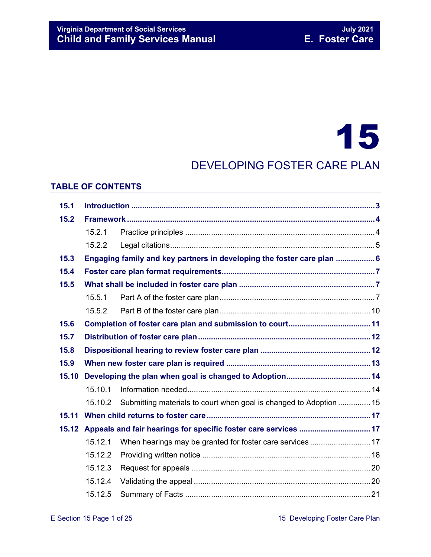# 15

### DEVELOPING FOSTER CARE PLAN

### **TABLE OF CONTENTS**

| 15.1  |                                                                        |                                                                    |  |
|-------|------------------------------------------------------------------------|--------------------------------------------------------------------|--|
| 15.2  |                                                                        |                                                                    |  |
|       | 15.2.1                                                                 |                                                                    |  |
|       | 15.2.2                                                                 |                                                                    |  |
| 15.3  | Engaging family and key partners in developing the foster care plan  6 |                                                                    |  |
| 15.4  |                                                                        |                                                                    |  |
| 15.5  |                                                                        |                                                                    |  |
|       | 15.5.1                                                                 |                                                                    |  |
|       | 15.5.2                                                                 |                                                                    |  |
| 15.6  |                                                                        |                                                                    |  |
| 15.7  |                                                                        |                                                                    |  |
| 15.8  |                                                                        |                                                                    |  |
| 15.9  |                                                                        |                                                                    |  |
| 15.10 |                                                                        |                                                                    |  |
|       | 15.10.1                                                                |                                                                    |  |
|       | 15.10.2                                                                | Submitting materials to court when goal is changed to Adoption  15 |  |
| 15.11 |                                                                        |                                                                    |  |
|       | 15.12 Appeals and fair hearings for specific foster care services  17  |                                                                    |  |
|       | 15.12.1                                                                |                                                                    |  |
|       | 15.12.2                                                                |                                                                    |  |
|       | 15.12.3                                                                |                                                                    |  |
|       | 15.12.4                                                                |                                                                    |  |
|       | 15.12.5                                                                |                                                                    |  |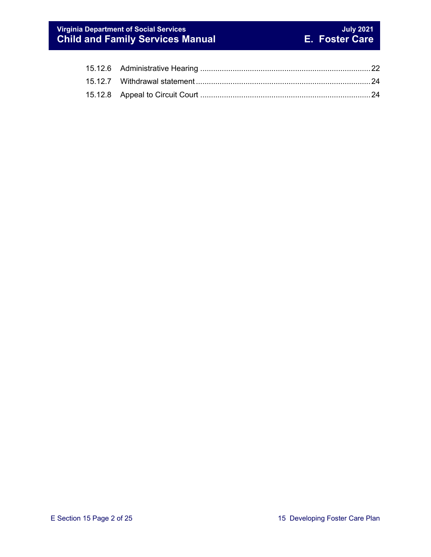### **Virginia Department of Social Services July 2021 Child and Family Services Manual E. Foster Care**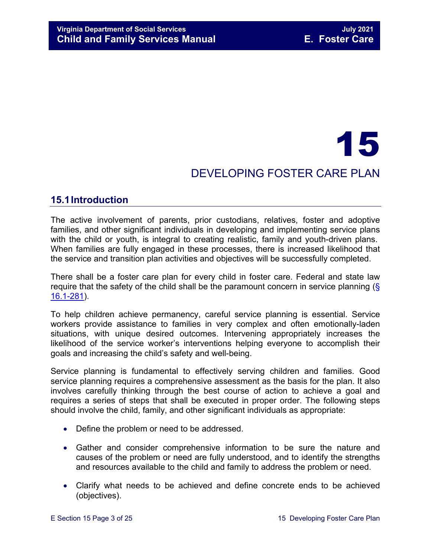## 15 DEVELOPING FOSTER CARE PLAN

### <span id="page-2-0"></span>**15.1Introduction**

The active involvement of parents, prior custodians, relatives, foster and adoptive families, and other significant individuals in developing and implementing service plans with the child or youth, is integral to creating realistic, family and youth-driven plans. When families are fully engaged in these processes, there is increased likelihood that the service and transition plan activities and objectives will be successfully completed.

There shall be a foster care plan for every child in foster care. Federal and state law require that the safety of the child shall be the paramount concern in service planning (§ [16.1-281\)](https://law.lis.virginia.gov/vacode/16.1-281/).

To help children achieve permanency, careful service planning is essential. Service workers provide assistance to families in very complex and often emotionally-laden situations, with unique desired outcomes. Intervening appropriately increases the likelihood of the service worker's interventions helping everyone to accomplish their goals and increasing the child's safety and well-being.

Service planning is fundamental to effectively serving children and families. Good service planning requires a comprehensive assessment as the basis for the plan. It also involves carefully thinking through the best course of action to achieve a goal and requires a series of steps that shall be executed in proper order. The following steps should involve the child, family, and other significant individuals as appropriate:

- Define the problem or need to be addressed.
- Gather and consider comprehensive information to be sure the nature and causes of the problem or need are fully understood, and to identify the strengths and resources available to the child and family to address the problem or need.
- Clarify what needs to be achieved and define concrete ends to be achieved (objectives).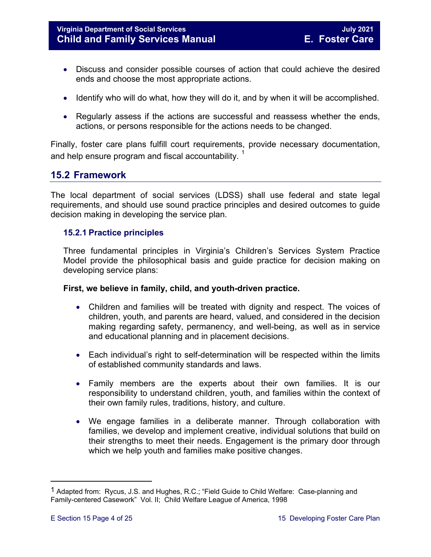- Discuss and consider possible courses of action that could achieve the desired ends and choose the most appropriate actions.
- Identify who will do what, how they will do it, and by when it will be accomplished.
- Regularly assess if the actions are successful and reassess whether the ends, actions, or persons responsible for the actions needs to be changed.

Finally, foster care plans fulfill court requirements, provide necessary documentation, and help ensure program and fiscal accountability. [1](#page-3-2) 

### <span id="page-3-0"></span>**15.2 Framework**

The local department of social services (LDSS) shall use federal and state legal requirements, and should use sound practice principles and desired outcomes to guide decision making in developing the service plan.

### <span id="page-3-1"></span>**15.2.1 Practice principles**

Three fundamental principles in Virginia's Children's Services System Practice Model provide the philosophical basis and guide practice for decision making on developing service plans:

### **First, we believe in family, child, and youth-driven practice.**

- Children and families will be treated with dignity and respect. The voices of children, youth, and parents are heard, valued, and considered in the decision making regarding safety, permanency, and well-being, as well as in service and educational planning and in placement decisions.
- Each individual's right to self-determination will be respected within the limits of established community standards and laws.
- Family members are the experts about their own families. It is our responsibility to understand children, youth, and families within the context of their own family rules, traditions, history, and culture.
- We engage families in a deliberate manner. Through collaboration with families, we develop and implement creative, individual solutions that build on their strengths to meet their needs. Engagement is the primary door through which we help youth and families make positive changes.

Ĩ.

<span id="page-3-2"></span><sup>1</sup> Adapted from: Rycus, J.S. and Hughes, R.C.; "Field Guide to Child Welfare: Case-planning and Family-centered Casework" Vol. II; Child Welfare League of America, 1998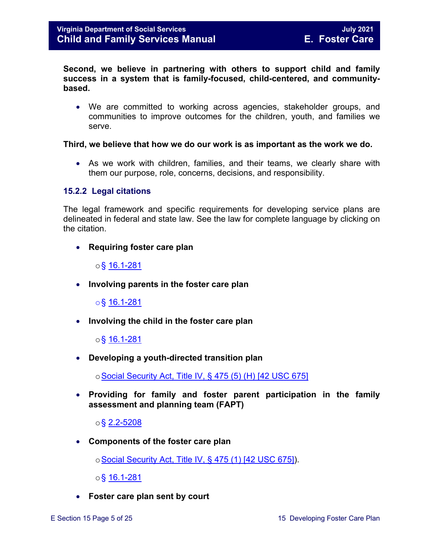**Second, we believe in partnering with others to support child and family success in a system that is family-focused, child-centered, and communitybased.** 

• We are committed to working across agencies, stakeholder groups, and communities to improve outcomes for the children, youth, and families we serve.

### **Third, we believe that how we do our work is as important as the work we do.**

• As we work with children, families, and their teams, we clearly share with them our purpose, role, concerns, decisions, and responsibility.

### <span id="page-4-0"></span>**15.2.2 Legal citations**

The legal framework and specific requirements for developing service plans are delineated in federal and state law. See the law for complete language by clicking on the citation.

• **Requiring foster care plan** 

o§ [16.1-281](https://law.lis.virginia.gov/vacode/16.1-281/) 

• **Involving parents in the foster care plan** 

o§ [16.1-281](https://law.lis.virginia.gov/vacode/16.1-281/)

• **Involving the child in the foster care plan** 

o§ [16.1-281](https://law.lis.virginia.gov/vacode/16.1-281/)

• **Developing a youth-directed transition plan** 

 $\circ$  [Social Security Act, Title IV, § 475 \(5\) \(H\) \[42 USC 675\]](http://www.ssa.gov/OP_Home/ssact/title04/0475.htm)

• **Providing for family and foster parent participation in the family assessment and planning team (FAPT)** 

 $\circ$ § [2.2-5208](https://law.lis.virginia.gov/vacode/2.2-5208/)

• **Components of the foster care plan** 

 $\circ$  [Social Security Act, Title IV, § 475 \(1\) \[42 USC 675\]\)](http://www.ssa.gov/OP_Home/ssact/title04/0475.htm).

o§ [16.1-281](https://law.lis.virginia.gov/vacode/16.1-281/)

• **Foster care plan sent by court**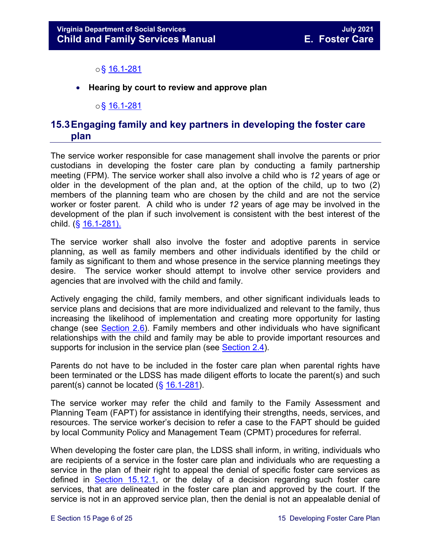### $\circ$ § [16.1-281](https://law.lis.virginia.gov/vacode/16.1-281/)

• **Hearing by court to review and approve plan** 

### o§ [16.1-281](https://law.lis.virginia.gov/vacode/16.1-281/)

### <span id="page-5-0"></span>**15.3Engaging family and key partners in developing the foster care plan**

The service worker responsible for case management shall involve the parents or prior custodians in developing the foster care plan by conducting a family partnership meeting (FPM). The service worker shall also involve a child who is *12* years of age or older in the development of the plan and, at the option of the child, up to two (2) members of the planning team who are chosen by the child and are not the service worker or foster parent. A child who is under *12* years of age may be involved in the development of the plan if such involvement is consistent with the best interest of the child.  $(*§* 16.1-281).$ 

The service worker shall also involve the foster and adoptive parents in service planning, as well as family members and other individuals identified by the child or family as significant to them and whose presence in the service planning meetings they desire. The service worker should attempt to involve other service providers and agencies that are involved with the child and family.

Actively engaging the child, family members, and other significant individuals leads to service plans and decisions that are more individualized and relevant to the family, thus increasing the likelihood of implementation and creating more opportunity for lasting change (see [Section 2.6\)](https://fusion.dss.virginia.gov/Portals/%5bdfs%5d/Files/DFS%20Manuals/Foster%20Care%20Manuals/Foster%20Care%20Manual%2007-2020/section_2_engaging_the_child_family_and_significant_adults.pdf#page=13). Family members and other individuals who have significant relationships with the child and family may be able to provide important resources and supports for inclusion in the service plan (see [Section 2.4\)](https://fusion.dss.virginia.gov/Portals/%5bdfs%5d/Files/DFS%20Manuals/Foster%20Care%20Manuals/Foster%20Care%20Manual%2007-2020/section_2_engaging_the_child_family_and_significant_adults.pdf#page=8).

Parents do not have to be included in the foster care plan when parental rights have been terminated or the LDSS has made diligent efforts to locate the parent(s) and such parent(s) cannot be located  $(\S 16.1-281)$  $(\S 16.1-281)$ .

The service worker may refer the child and family to the Family Assessment and Planning Team (FAPT) for assistance in identifying their strengths, needs, services, and resources. The service worker's decision to refer a case to the FAPT should be guided by local Community Policy and Management Team (CPMT) procedures for referral.

When developing the foster care plan, the LDSS shall inform, in writing, individuals who are recipients of a service in the foster care plan and individuals who are requesting a service in the plan of their right to appeal the denial of specific foster care services as defined in [Section 15.12.1,](#page-16-2) or the delay of a decision regarding such foster care services, that are delineated in the foster care plan and approved by the court. If the service is not in an approved service plan, then the denial is not an appealable denial of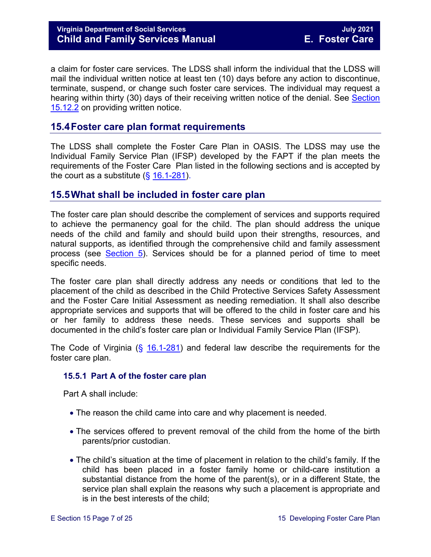### **Virginia Department of Social Services July 2021 Child and Family Services Manual**

a claim for foster care services. The LDSS shall inform the individual that the LDSS will mail the individual written notice at least ten (10) days before any action to discontinue, terminate, suspend, or change such foster care services. The individual may request a hearing within thirty (30) days of their receiving written notice of the denial. See [Section](#page-17-1)  [15.12.2](#page-17-1) on providing written notice.

### <span id="page-6-0"></span>**15.4Foster care plan format requirements**

The LDSS shall complete the Foster Care Plan in OASIS. The LDSS may use the Individual Family Service Plan (IFSP) developed by the FAPT if the plan meets the requirements of the Foster Care Plan listed in the following sections and is accepted by the court as a substitute  $(\frac{6}{5} 16.1 - 281)$ .

### <span id="page-6-1"></span>**15.5What shall be included in foster care plan**

The foster care plan should describe the complement of services and supports required to achieve the permanency goal for the child. The plan should address the unique needs of the child and family and should build upon their strengths, resources, and natural supports, as identified through the comprehensive child and family assessment process (see [Section 5\)](https://fusion.dss.virginia.gov/Portals/%5bdfs%5d/Files/DFS%20Manuals/Foster%20Care%20Manuals/Foster%20Care%20Manual%2007-2020/section_5_conducting_child_and_family_assessment.pdf). Services should be for a planned period of time to meet specific needs.

The foster care plan shall directly address any needs or conditions that led to the placement of the child as described in the Child Protective Services Safety Assessment and the Foster Care Initial Assessment as needing remediation. It shall also describe appropriate services and supports that will be offered to the child in foster care and his or her family to address these needs. These services and supports shall be documented in the child's foster care plan or Individual Family Service Plan (IFSP).

The Code of Virginia  $(\frac{6}{9}$  [16.1-281\)](https://law.lis.virginia.gov/vacode/16.1-281/) and federal law describe the requirements for the foster care plan.

### <span id="page-6-2"></span>**15.5.1 Part A of the foster care plan**

Part A shall include:

- The reason the child came into care and why placement is needed.
- The services offered to prevent removal of the child from the home of the birth parents/prior custodian.
- The child's situation at the time of placement in relation to the child's family. If the child has been placed in a foster family home or child-care institution a substantial distance from the home of the parent(s), or in a different State, the service plan shall explain the reasons why such a placement is appropriate and is in the best interests of the child;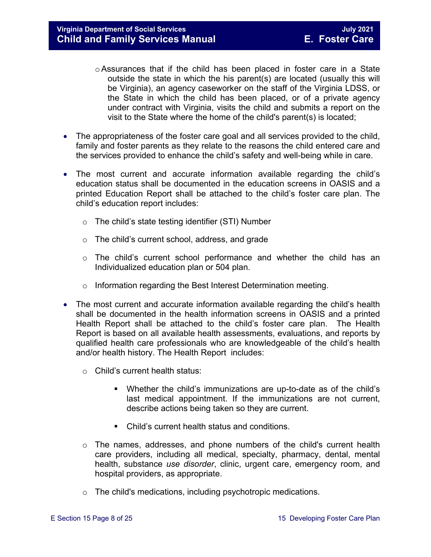- $\circ$  Assurances that if the child has been placed in foster care in a State outside the state in which the his parent(s) are located (usually this will be Virginia), an agency caseworker on the staff of the Virginia LDSS, or the State in which the child has been placed, or of a private agency under contract with Virginia, visits the child and submits a report on the visit to the State where the home of the child's parent(s) is located;
- The appropriateness of the foster care goal and all services provided to the child, family and foster parents as they relate to the reasons the child entered care and the services provided to enhance the child's safety and well-being while in care.
- The most current and accurate information available regarding the child's education status shall be documented in the education screens in OASIS and a printed Education Report shall be attached to the child's foster care plan. The child's education report includes:
	- o The child's state testing identifier (STI) Number
	- o The child's current school, address, and grade
	- o The child's current school performance and whether the child has an Individualized education plan or 504 plan.
	- o Information regarding the Best Interest Determination meeting.
- The most current and accurate information available regarding the child's health shall be documented in the health information screens in OASIS and a printed Health Report shall be attached to the child's foster care plan. The Health Report is based on all available health assessments, evaluations, and reports by qualified health care professionals who are knowledgeable of the child's health and/or health history. The Health Report includes:
	- o Child's current health status:
		- Whether the child's immunizations are up-to-date as of the child's last medical appointment. If the immunizations are not current, describe actions being taken so they are current.
		- Child's current health status and conditions.
	- o The names, addresses, and phone numbers of the child's current health care providers, including all medical, specialty, pharmacy, dental, mental health, substance *use disorder*, clinic, urgent care, emergency room, and hospital providers, as appropriate.
	- o The child's medications, including psychotropic medications.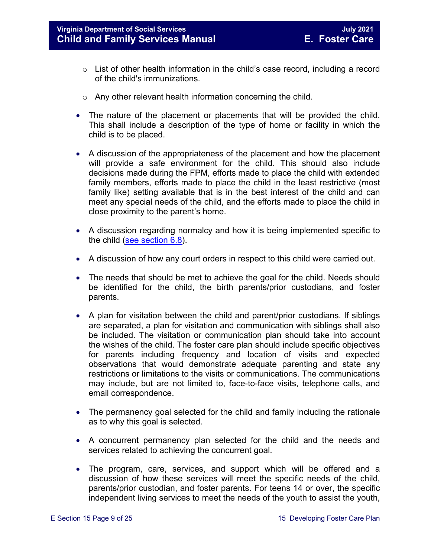- o List of other health information in the child's case record, including a record of the child's immunizations.
- o Any other relevant health information concerning the child.
- The nature of the placement or placements that will be provided the child. This shall include a description of the type of home or facility in which the child is to be placed.
- A discussion of the appropriateness of the placement and how the placement will provide a safe environment for the child. This should also include decisions made during the FPM, efforts made to place the child with extended family members, efforts made to place the child in the least restrictive (most family like) setting available that is in the best interest of the child and can meet any special needs of the child, and the efforts made to place the child in close proximity to the parent's home.
- A discussion regarding normalcy and how it is being implemented specific to the child [\(see section 6.8\)](https://fusion.dss.virginia.gov/Portals/%5bdfs%5d/Files/DFS%20Manuals/Foster%20Care%20Manuals/Foster%20Care%20Manual%2007-2020/section_6_placement_to_achieve_permanency.pdf#page=26).
- A discussion of how any court orders in respect to this child were carried out.
- The needs that should be met to achieve the goal for the child. Needs should be identified for the child, the birth parents/prior custodians, and foster parents.
- A plan for visitation between the child and parent/prior custodians. If siblings are separated, a plan for visitation and communication with siblings shall also be included. The visitation or communication plan should take into account the wishes of the child. The foster care plan should include specific objectives for parents including frequency and location of visits and expected observations that would demonstrate adequate parenting and state any restrictions or limitations to the visits or communications. The communications may include, but are not limited to, face-to-face visits, telephone calls, and email correspondence.
- The permanency goal selected for the child and family including the rationale as to why this goal is selected.
- A concurrent permanency plan selected for the child and the needs and services related to achieving the concurrent goal.
- The program, care, services, and support which will be offered and a discussion of how these services will meet the specific needs of the child, parents/prior custodian, and foster parents. For teens 14 or over, the specific independent living services to meet the needs of the youth to assist the youth,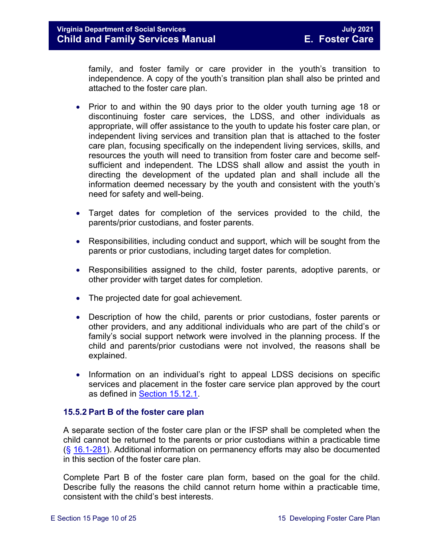family, and foster family or care provider in the youth's transition to independence. A copy of the youth's transition plan shall also be printed and attached to the foster care plan.

- Prior to and within the 90 days prior to the older youth turning age 18 or discontinuing foster care services, the LDSS, and other individuals as appropriate, will offer assistance to the youth to update his foster care plan, or independent living services and transition plan that is attached to the foster care plan, focusing specifically on the independent living services, skills, and resources the youth will need to transition from foster care and become selfsufficient and independent. The LDSS shall allow and assist the youth in directing the development of the updated plan and shall include all the information deemed necessary by the youth and consistent with the youth's need for safety and well-being.
- Target dates for completion of the services provided to the child, the parents/prior custodians, and foster parents.
- Responsibilities, including conduct and support, which will be sought from the parents or prior custodians, including target dates for completion.
- Responsibilities assigned to the child, foster parents, adoptive parents, or other provider with target dates for completion.
- The projected date for goal achievement.
- Description of how the child, parents or prior custodians, foster parents or other providers, and any additional individuals who are part of the child's or family's social support network were involved in the planning process. If the child and parents/prior custodians were not involved, the reasons shall be explained.
- Information on an individual's right to appeal LDSS decisions on specific services and placement in the foster care service plan approved by the court as defined in [Section 15.12.1.](#page-16-2)

### <span id="page-9-0"></span>**15.5.2 Part B of the foster care plan**

A separate section of the foster care plan or the IFSP shall be completed when the child cannot be returned to the parents or prior custodians within a practicable time  $(S$  [16.1-281\)](https://law.lis.virginia.gov/vacode/16.1-281/). Additional information on permanency efforts may also be documented in this section of the foster care plan.

Complete Part B of the foster care plan form, based on the goal for the child. Describe fully the reasons the child cannot return home within a practicable time, consistent with the child's best interests.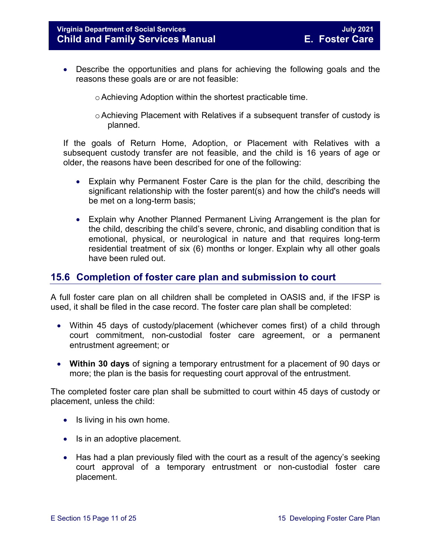- Describe the opportunities and plans for achieving the following goals and the reasons these goals are or are not feasible:
	- oAchieving Adoption within the shortest practicable time.
	- $\circ$  Achieving Placement with Relatives if a subsequent transfer of custody is planned.

If the goals of Return Home, Adoption, or Placement with Relatives with a subsequent custody transfer are not feasible, and the child is 16 years of age or older, the reasons have been described for one of the following:

- Explain why Permanent Foster Care is the plan for the child, describing the significant relationship with the foster parent(s) and how the child's needs will be met on a long-term basis;
- Explain why Another Planned Permanent Living Arrangement is the plan for the child, describing the child's severe, chronic, and disabling condition that is emotional, physical, or neurological in nature and that requires long-term residential treatment of six (6) months or longer. Explain why all other goals have been ruled out.

### <span id="page-10-0"></span>**15.6 Completion of foster care plan and submission to court**

A full foster care plan on all children shall be completed in OASIS and, if the IFSP is used, it shall be filed in the case record. The foster care plan shall be completed:

- Within 45 days of custody/placement (whichever comes first) of a child through court commitment, non-custodial foster care agreement, or a permanent entrustment agreement; or
- **Within 30 days** of signing a temporary entrustment for a placement of 90 days or more; the plan is the basis for requesting court approval of the entrustment.

The completed foster care plan shall be submitted to court within 45 days of custody or placement, unless the child:

- Is living in his own home.
- Is in an adoptive placement.
- Has had a plan previously filed with the court as a result of the agency's seeking court approval of a temporary entrustment or non-custodial foster care placement.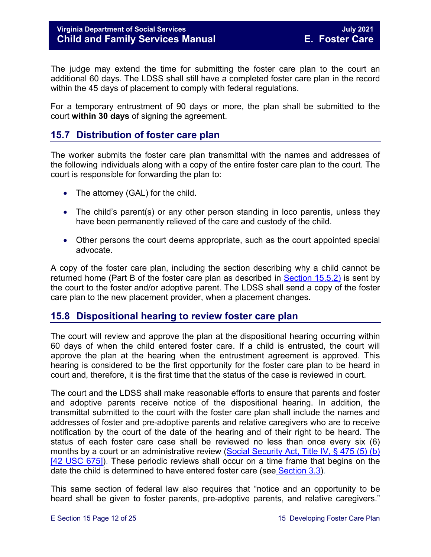### **Virginia Department of Social Services** Manual Community Community Community Community Community Community Community **Child and Family Services Manual E. Foster Care**

The judge may extend the time for submitting the foster care plan to the court an additional 60 days. The LDSS shall still have a completed foster care plan in the record within the 45 days of placement to comply with federal regulations.

For a temporary entrustment of 90 days or more, the plan shall be submitted to the court **within 30 days** of signing the agreement.

### <span id="page-11-0"></span>**15.7 Distribution of foster care plan**

The worker submits the foster care plan transmittal with the names and addresses of the following individuals along with a copy of the entire foster care plan to the court. The court is responsible for forwarding the plan to:

- The attorney (GAL) for the child.
- The child's parent(s) or any other person standing in loco parentis, unless they have been permanently relieved of the care and custody of the child.
- Other persons the court deems appropriate, such as the court appointed special advocate.

A copy of the foster care plan, including the section describing why a child cannot be returned home (Part B of the foster care plan as described in [Section 15.5.2\)](#page-9-0) is sent by the court to the foster and/or adoptive parent. The LDSS shall send a copy of the foster care plan to the new placement provider, when a placement changes.

### <span id="page-11-1"></span>**15.8 Dispositional hearing to review foster care plan**

The court will review and approve the plan at the dispositional hearing occurring within 60 days of when the child entered foster care. If a child is entrusted, the court will approve the plan at the hearing when the entrustment agreement is approved. This hearing is considered to be the first opportunity for the foster care plan to be heard in court and, therefore, it is the first time that the status of the case is reviewed in court.

The court and the LDSS shall make reasonable efforts to ensure that parents and foster and adoptive parents receive notice of the dispositional hearing. In addition, the transmittal submitted to the court with the foster care plan shall include the names and addresses of foster and pre-adoptive parents and relative caregivers who are to receive notification by the court of the date of the hearing and of their right to be heard. The status of each foster care case shall be reviewed no less than once every six (6) months by a court or an administrative review (Social Security Act, Title IV, § 475 (5) (b) [\[42 USC 675\]\)](http://www.socialsecurity.gov/OP_Home/ssact/title04/0475.htm). These periodic reviews shall occur on a time frame that begins on the date the child is determined to have entered foster care (see [Section 3.3\)](https://fusion.dss.virginia.gov/Portals/%5bdfs%5d/Files/DFS%20Manuals/Foster%20Care%20Manuals/Foster%20Care%20Manual%2007-2020/section_3_entering_foster_care.pdf#page=3).

This same section of federal law also requires that "notice and an opportunity to be heard shall be given to foster parents, pre-adoptive parents, and relative caregivers."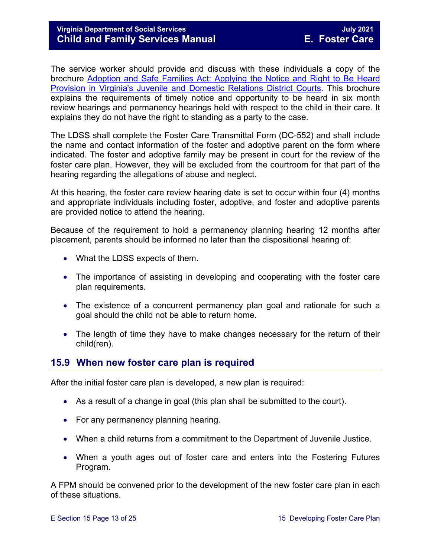The service worker should provide and discuss with these individuals a copy of the brochure [Adoption and Safe Families Act: Applying the Notice and Right to Be Heard](http://www.courts.state.va.us/courtadmin/aoc/cip/resources/asfa_brochure_web.pdf)  [Provision in Virginia's Juvenile and Domestic Relations District Courts.](http://www.courts.state.va.us/courtadmin/aoc/cip/resources/asfa_brochure_web.pdf) This brochure explains the requirements of timely notice and opportunity to be heard in six month review hearings and permanency hearings held with respect to the child in their care. It explains they do not have the right to standing as a party to the case.

The LDSS shall complete the Foster Care Transmittal Form (DC-552) and shall include the name and contact information of the foster and adoptive parent on the form where indicated. The foster and adoptive family may be present in court for the review of the foster care plan. However, they will be excluded from the courtroom for that part of the hearing regarding the allegations of abuse and neglect.

At this hearing, the foster care review hearing date is set to occur within four (4) months and appropriate individuals including foster, adoptive, and foster and adoptive parents are provided notice to attend the hearing.

Because of the requirement to hold a permanency planning hearing 12 months after placement, parents should be informed no later than the dispositional hearing of:

- What the LDSS expects of them.
- The importance of assisting in developing and cooperating with the foster care plan requirements.
- The existence of a concurrent permanency plan goal and rationale for such a goal should the child not be able to return home.
- The length of time they have to make changes necessary for the return of their child(ren).

### <span id="page-12-0"></span>**15.9 When new foster care plan is required**

After the initial foster care plan is developed, a new plan is required:

- As a result of a change in goal (this plan shall be submitted to the court).
- For any permanency planning hearing.
- When a child returns from a commitment to the Department of Juvenile Justice.
- When a youth ages out of foster care and enters into the Fostering Futures Program.

A FPM should be convened prior to the development of the new foster care plan in each of these situations.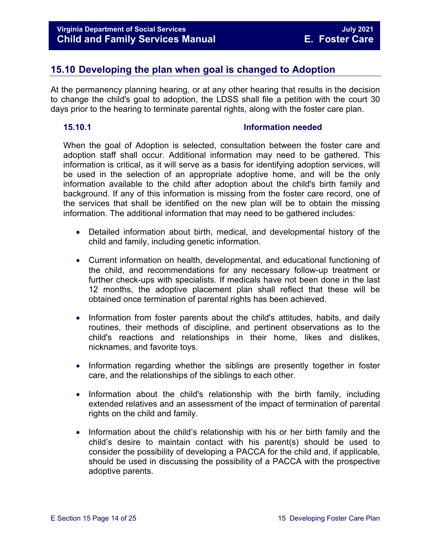### <span id="page-13-0"></span>**15.10 Developing the plan when goal is changed to Adoption**

At the permanency planning hearing, or at any other hearing that results in the decision to change the child's goal to adoption, the LDSS shall file a petition with the court 30 days prior to the hearing to terminate parental rights, along with the foster care plan.

### <span id="page-13-1"></span>**15.10.1 Information needed**

When the goal of Adoption is selected, consultation between the foster care and adoption staff shall occur. Additional information may need to be gathered. This information is critical, as it will serve as a basis for identifying adoption services, will be used in the selection of an appropriate adoptive home, and will be the only information available to the child after adoption about the child's birth family and background. If any of this information is missing from the foster care record, one of the services that shall be identified on the new plan will be to obtain the missing information. The additional information that may need to be gathered includes:

- Detailed information about birth, medical, and developmental history of the child and family, including genetic information.
- Current information on health, developmental, and educational functioning of the child, and recommendations for any necessary follow-up treatment or further check-ups with specialists. If medicals have not been done in the last 12 months, the adoptive placement plan shall reflect that these will be obtained once termination of parental rights has been achieved.
- Information from foster parents about the child's attitudes, habits, and daily routines, their methods of discipline, and pertinent observations as to the child's reactions and relationships in their home, likes and dislikes, nicknames, and favorite toys.
- Information regarding whether the siblings are presently together in foster care, and the relationships of the siblings to each other.
- Information about the child's relationship with the birth family, including extended relatives and an assessment of the impact of termination of parental rights on the child and family.
- Information about the child's relationship with his or her birth family and the child's desire to maintain contact with his parent(s) should be used to consider the possibility of developing a PACCA for the child and, if applicable, should be used in discussing the possibility of a PACCA with the prospective adoptive parents.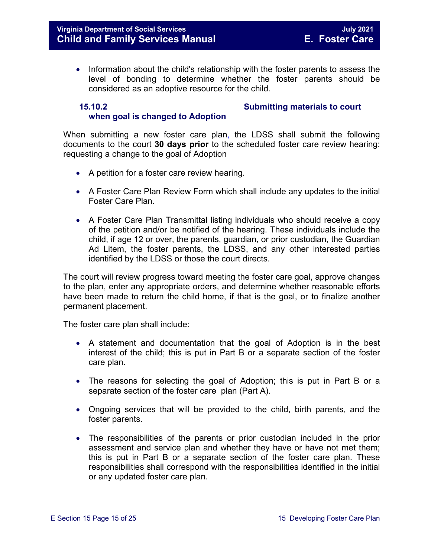• Information about the child's relationship with the foster parents to assess the level of bonding to determine whether the foster parents should be considered as an adoptive resource for the child.

### <span id="page-14-0"></span>**15.10.2 Submitting materials to court**

### **when goal is changed to Adoption**

When submitting a new foster care plan, the LDSS shall submit the following documents to the court **30 days prior** to the scheduled foster care review hearing: requesting a change to the goal of Adoption

- A petition for a foster care review hearing.
- A Foster Care Plan Review Form which shall include any updates to the initial Foster Care Plan.
- A Foster Care Plan Transmittal listing individuals who should receive a copy of the petition and/or be notified of the hearing. These individuals include the child, if age 12 or over, the parents, guardian, or prior custodian, the Guardian Ad Litem, the foster parents, the LDSS, and any other interested parties identified by the LDSS or those the court directs.

The court will review progress toward meeting the foster care goal, approve changes to the plan, enter any appropriate orders, and determine whether reasonable efforts have been made to return the child home, if that is the goal, or to finalize another permanent placement.

The foster care plan shall include:

- A statement and documentation that the goal of Adoption is in the best interest of the child; this is put in Part B or a separate section of the foster care plan.
- The reasons for selecting the goal of Adoption; this is put in Part B or a separate section of the foster care plan (Part A).
- Ongoing services that will be provided to the child, birth parents, and the foster parents.
- The responsibilities of the parents or prior custodian included in the prior assessment and service plan and whether they have or have not met them; this is put in Part B or a separate section of the foster care plan. These responsibilities shall correspond with the responsibilities identified in the initial or any updated foster care plan.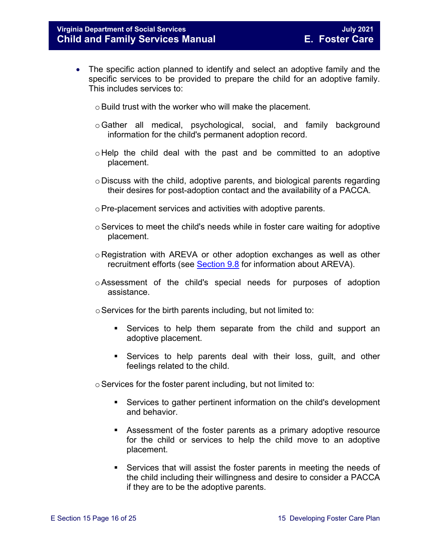- The specific action planned to identify and select an adoptive family and the specific services to be provided to prepare the child for an adoptive family. This includes services to:
	- oBuild trust with the worker who will make the placement.
	- oGather all medical, psychological, social, and family background information for the child's permanent adoption record.
	- $\circ$  Help the child deal with the past and be committed to an adoptive placement.
	- o Discuss with the child, adoptive parents, and biological parents regarding their desires for post-adoption contact and the availability of a PACCA.
	- o Pre-placement services and activities with adoptive parents.
	- $\circ$  Services to meet the child's needs while in foster care waiting for adoptive placement.
	- $\circ$  Registration with AREVA or other adoption exchanges as well as other recruitment efforts (see [Section 9.8](https://fusion.dss.virginia.gov/Portals/%5Bdfs%5D/Files/DFS%20Manuals/Foster%20Care%20Manuals/Foster%20Care%20Manual%2007-2020/section_9_achieving_permanency_goal_adoption.pdf#page=24) for information about AREVA).
	- oAssessment of the child's special needs for purposes of adoption assistance.
	- $\circ$  Services for the birth parents including, but not limited to:
		- Services to help them separate from the child and support an adoptive placement.
		- Services to help parents deal with their loss, guilt, and other feelings related to the child.

 $\circ$  Services for the foster parent including, but not limited to:

- **Services to gather pertinent information on the child's development** and behavior.
- Assessment of the foster parents as a primary adoptive resource for the child or services to help the child move to an adoptive placement.
- Services that will assist the foster parents in meeting the needs of the child including their willingness and desire to consider a PACCA if they are to be the adoptive parents.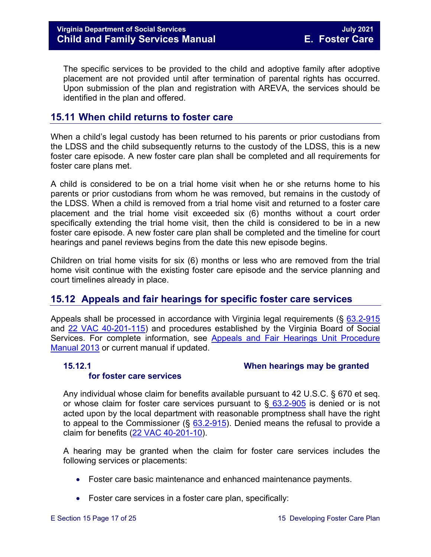The specific services to be provided to the child and adoptive family after adoptive placement are not provided until after termination of parental rights has occurred. Upon submission of the plan and registration with AREVA, the services should be identified in the plan and offered.

### <span id="page-16-0"></span>**15.11 When child returns to foster care**

When a child's legal custody has been returned to his parents or prior custodians from the LDSS and the child subsequently returns to the custody of the LDSS, this is a new foster care episode. A new foster care plan shall be completed and all requirements for foster care plans met.

A child is considered to be on a trial home visit when he or she returns home to his parents or prior custodians from whom he was removed, but remains in the custody of the LDSS. When a child is removed from a trial home visit and returned to a foster care placement and the trial home visit exceeded six (6) months without a court order specifically extending the trial home visit, then the child is considered to be in a new foster care episode. A new foster care plan shall be completed and the timeline for court hearings and panel reviews begins from the date this new episode begins.

Children on trial home visits for six (6) months or less who are removed from the trial home visit continue with the existing foster care episode and the service planning and court timelines already in place.

### <span id="page-16-1"></span>**15.12 Appeals and fair hearings for specific foster care services**

Appeals shall be processed in accordance with Virginia legal requirements (§ [63.2-915](https://law.lis.virginia.gov/vacode/63.2-915/) and [22 VAC 40-201-115\)](https://law.lis.virginia.gov/admincode/title22/agency40/chapter201/section115) and procedures established by the Virginia Board of Social Services. For complete information, see [Appeals and Fair Hearings Unit Procedure](https://fusion.dss.virginia.gov/Portals/%5BAC%5D/Files/Appeals%2C%20Fair%20Hearings%20and%20Civil%20Rights/AFH_Procedure_Manual.pdf)  [Manual 2013](https://fusion.dss.virginia.gov/Portals/%5BAC%5D/Files/Appeals%2C%20Fair%20Hearings%20and%20Civil%20Rights/AFH_Procedure_Manual.pdf) or current manual if updated.

### **for foster care services**

### <span id="page-16-2"></span>**15.12.1 When hearings may be granted**

Any individual whose claim for benefits available pursuant to 42 U.S.C. § 670 et seq. or whose claim for foster care services pursuant to  $\S$  [63.2-905](https://law.lis.virginia.gov/vacode/63.2-905/) is denied or is not acted upon by the local department with reasonable promptness shall have the right to appeal to the Commissioner  $(\S$  [63.2-915\)](https://law.lis.virginia.gov/vacode/63.2-905/). Denied means the refusal to provide a claim for benefits [\(22 VAC 40-201-10\)](https://law.lis.virginia.gov/admincode/title22/agency40/chapter201/section10).

A hearing may be granted when the claim for foster care services includes the following services or placements:

- Foster care basic maintenance and enhanced maintenance payments.
- Foster care services in a foster care plan, specifically: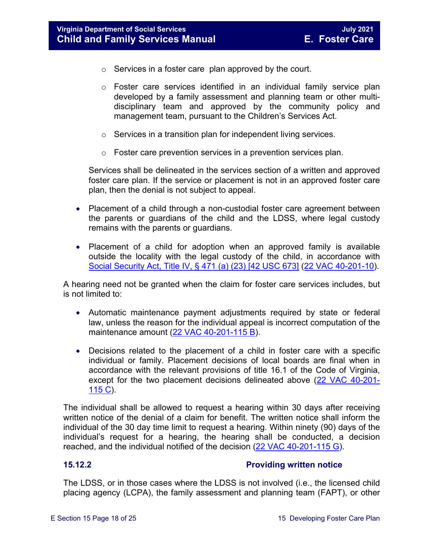- $\circ$  Services in a foster care plan approved by the court.
- o Foster care services identified in an individual family service plan developed by a family assessment and planning team or other multidisciplinary team and approved by the community policy and management team, pursuant to the Children's Services Act.
- o Services in a transition plan for independent living services.
- $\circ$  Foster care prevention services in a prevention services plan.

Services shall be delineated in the services section of a written and approved foster care plan. If the service or placement is not in an approved foster care plan, then the denial is not subject to appeal.

- Placement of a child through a non-custodial foster care agreement between the parents or guardians of the child and the LDSS, where legal custody remains with the parents or guardians.
- Placement of a child for adoption when an approved family is available outside the locality with the legal custody of the child, in accordance with [Social Security Act, Title IV, § 471 \(a\) \(23\) \[42 USC 673\]](http://www.ssa.gov/OP_Home/ssact/title04/0471.htm) [\(22 VAC 40-201-10\)](https://law.lis.virginia.gov/admincode/title22/agency40/chapter201/section10).

A hearing need not be granted when the claim for foster care services includes, but is not limited to:

- Automatic maintenance payment adjustments required by state or federal law, unless the reason for the individual appeal is incorrect computation of the maintenance amount [\(22 VAC 40-201-115 B\)](https://law.lis.virginia.gov/admincode/title22/agency40/chapter201/section115).
- Decisions related to the placement of a child in foster care with a specific individual or family. Placement decisions of local boards are final when in accordance with the relevant provisions of title 16.1 of the Code of Virginia, except for the two placement decisions delineated above [\(22 VAC 40-201-](https://law.lis.virginia.gov/admincode/title22/agency40/chapter201/section115) [115 C\)](https://law.lis.virginia.gov/admincode/title22/agency40/chapter201/section115).

The individual shall be allowed to request a hearing within 30 days after receiving written notice of the denial of a claim for benefit. The written notice shall inform the individual of the 30 day time limit to request a hearing. Within ninety (90) days of the individual's request for a hearing, the hearing shall be conducted, a decision reached, and the individual notified of the decision [\(22 VAC 40-201-115 G\)](https://law.lis.virginia.gov/admincode/title22/agency40/chapter201/section115).

### <span id="page-17-1"></span><span id="page-17-0"></span>**15.12.2 Providing written notice**

The LDSS, or in those cases where the LDSS is not involved (i.e., the licensed child placing agency (LCPA), the family assessment and planning team (FAPT), or other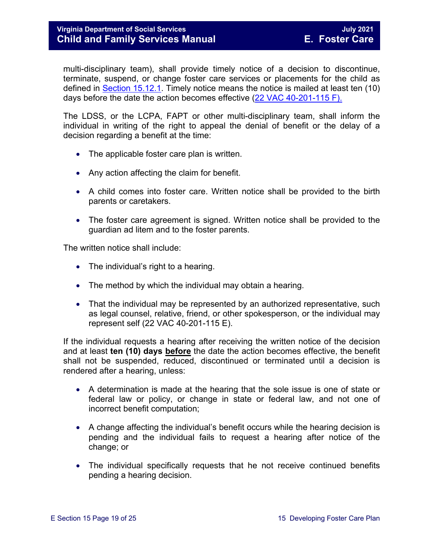multi-disciplinary team), shall provide timely notice of a decision to discontinue, terminate, suspend, or change foster care services or placements for the child as defined in [Section 15.12.1.](#page-16-2) Timely notice means the notice is mailed at least ten (10) days before the date the action becomes effective [\(22 VAC 40-201-115 F\).](https://law.lis.virginia.gov/admincode/title22/agency40/chapter201/section115) 

The LDSS, or the LCPA, FAPT or other multi-disciplinary team, shall inform the individual in writing of the right to appeal the denial of benefit or the delay of a decision regarding a benefit at the time:

- The applicable foster care plan is written.
- Any action affecting the claim for benefit.
- A child comes into foster care. Written notice shall be provided to the birth parents or caretakers.
- The foster care agreement is signed. Written notice shall be provided to the guardian ad litem and to the foster parents.

The written notice shall include:

- The individual's right to a hearing.
- The method by which the individual may obtain a hearing.
- That the individual may be represented by an authorized representative, such as legal counsel, relative, friend, or other spokesperson, or the individual may represent self (22 VAC 40-201-115 E).

If the individual requests a hearing after receiving the written notice of the decision and at least **ten (10) days before** the date the action becomes effective, the benefit shall not be suspended, reduced, discontinued or terminated until a decision is rendered after a hearing, unless:

- A determination is made at the hearing that the sole issue is one of state or federal law or policy, or change in state or federal law, and not one of incorrect benefit computation;
- A change affecting the individual's benefit occurs while the hearing decision is pending and the individual fails to request a hearing after notice of the change; or
- The individual specifically requests that he not receive continued benefits pending a hearing decision.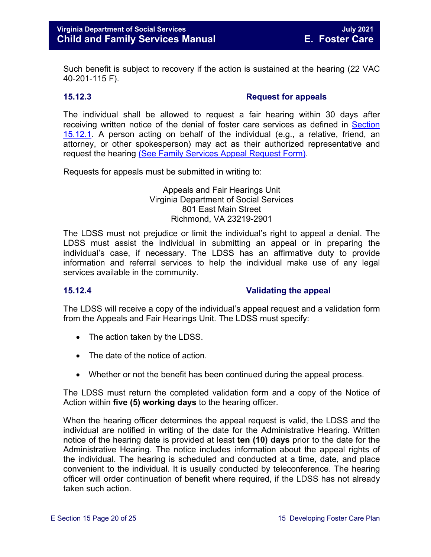Such benefit is subject to recovery if the action is sustained at the hearing (22 VAC 40-201-115 F).

### **15.12.3 Request for appeals**

The individual shall be allowed to request a fair hearing within 30 days after receiving written notice of the denial of foster care services as defined in [Section](#page-16-2)  [15.12.1.](#page-16-2) A person acting on behalf of the individual (e.g., a relative, friend, an attorney, or other spokesperson) may act as their authorized representative and request the hearing [\(See Family Services Appeal Request Form\).](https://fusion.dss.virginia.gov/Portals/%5Bdfs%5D/Files/DFS%20FORMS/Family%20Services-Generic%20Forms/Family%20Services%20Appeal%20Request.pdf)

Requests for appeals must be submitted in writing to:

### <span id="page-19-1"></span><span id="page-19-0"></span>Appeals and Fair Hearings Unit Virginia Department of Social Services 801 East Main Street Richmond, VA 23219-2901

The LDSS must not prejudice or limit the individual's right to appeal a denial. The LDSS must assist the individual in submitting an appeal or in preparing the individual's case, if necessary. The LDSS has an affirmative duty to provide information and referral services to help the individual make use of any legal services available in the community.

### **15.12.4 Validating the appeal**

The LDSS will receive a copy of the individual's appeal request and a validation form from the Appeals and Fair Hearings Unit. The LDSS must specify:

- The action taken by the LDSS.
- The date of the notice of action.
- Whether or not the benefit has been continued during the appeal process.

The LDSS must return the completed validation form and a copy of the Notice of Action within **five (5) working days** to the hearing officer.

When the hearing officer determines the appeal request is valid, the LDSS and the individual are notified in writing of the date for the Administrative Hearing. Written notice of the hearing date is provided at least **ten (10) days** prior to the date for the Administrative Hearing. The notice includes information about the appeal rights of the individual. The hearing is scheduled and conducted at a time, date, and place convenient to the individual. It is usually conducted by teleconference. The hearing officer will order continuation of benefit where required, if the LDSS has not already taken such action.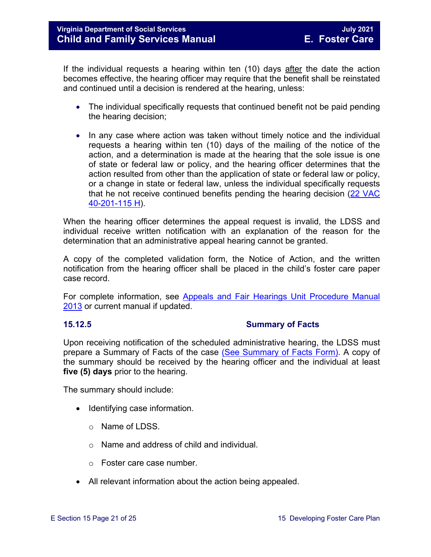If the individual requests a hearing within ten (10) days after the date the action becomes effective, the hearing officer may require that the benefit shall be reinstated and continued until a decision is rendered at the hearing, unless:

- The individual specifically requests that continued benefit not be paid pending the hearing decision;
- In any case where action was taken without timely notice and the individual requests a hearing within ten (10) days of the mailing of the notice of the action, and a determination is made at the hearing that the sole issue is one of state or federal law or policy, and the hearing officer determines that the action resulted from other than the application of state or federal law or policy, or a change in state or federal law, unless the individual specifically requests that he not receive continued benefits pending the hearing decision [\(22 VAC](https://law.lis.virginia.gov/admincode/title22/agency40/chapter201/section115)  [40-201-115 H\)](https://law.lis.virginia.gov/admincode/title22/agency40/chapter201/section115).

When the hearing officer determines the appeal request is invalid, the LDSS and individual receive written notification with an explanation of the reason for the determination that an administrative appeal hearing cannot be granted.

A copy of the completed validation form, the Notice of Action, and the written notification from the hearing officer shall be placed in the child's foster care paper case record.

For complete information, see [Appeals and Fair Hearings Unit Procedure Manual](https://fusion.dss.virginia.gov/Portals/%5BAC%5D/Files/Appeals%2C%20Fair%20Hearings%20and%20Civil%20Rights/AFH_Procedure_Manual.pdf)  [2013](https://fusion.dss.virginia.gov/Portals/%5BAC%5D/Files/Appeals%2C%20Fair%20Hearings%20and%20Civil%20Rights/AFH_Procedure_Manual.pdf) or current manual if updated.

### <span id="page-20-0"></span>**15.12.5 Summary of Facts**

Upon receiving notification of the scheduled administrative hearing, the LDSS must prepare a Summary of Facts of the case [\(See Summary of Facts Form\).](https://fusion.dss.virginia.gov/Portals/%5Bdfs%5D/Files/DFS%20FORMS/Family%20Services-Generic%20Forms/Family%20Services%20Summary%20of%20Facts.pdf) A copy of the summary should be received by the hearing officer and the individual at least **five (5) days** prior to the hearing.

The summary should include:

- Identifying case information.
	- o Name of LDSS.
	- o Name and address of child and individual.
	- o Foster care case number.
- All relevant information about the action being appealed.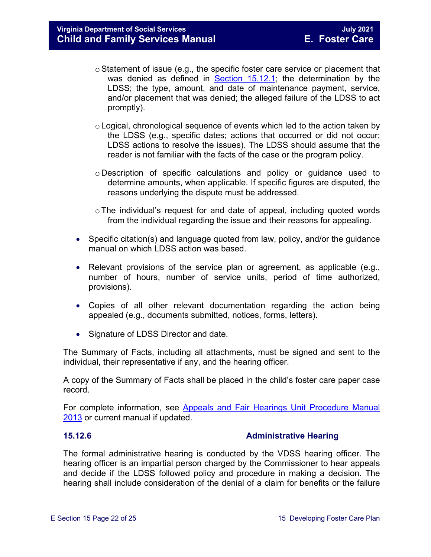- $\circ$  Statement of issue (e.g., the specific foster care service or placement that was denied as defined in [Section 15.12.1;](#page-16-2) the determination by the LDSS; the type, amount, and date of maintenance payment, service, and/or placement that was denied; the alleged failure of the LDSS to act promptly).
- $\circ$  Logical, chronological sequence of events which led to the action taken by the LDSS (e.g., specific dates; actions that occurred or did not occur; LDSS actions to resolve the issues). The LDSS should assume that the reader is not familiar with the facts of the case or the program policy.
- o Description of specific calculations and policy or guidance used to determine amounts, when applicable. If specific figures are disputed, the reasons underlying the dispute must be addressed.
- $\circ$  The individual's request for and date of appeal, including quoted words from the individual regarding the issue and their reasons for appealing.
- Specific citation(s) and language quoted from law, policy, and/or the guidance manual on which LDSS action was based.
- Relevant provisions of the service plan or agreement, as applicable (e.g., number of hours, number of service units, period of time authorized, provisions).
- Copies of all other relevant documentation regarding the action being appealed (e.g., documents submitted, notices, forms, letters).
- Signature of LDSS Director and date.

The Summary of Facts, including all attachments, must be signed and sent to the individual, their representative if any, and the hearing officer.

A copy of the Summary of Facts shall be placed in the child's foster care paper case record.

For complete information, see Appeals and Fair Hearings Unit Procedure Manual [2013](https://fusion.dss.virginia.gov/Portals/%5BAC%5D/Files/Appeals%2C%20Fair%20Hearings%20and%20Civil%20Rights/AFH_Procedure_Manual.pdf) or current manual if updated.

### <span id="page-21-0"></span>**15.12.6 Administrative Hearing**

The formal administrative hearing is conducted by the VDSS hearing officer. The hearing officer is an impartial person charged by the Commissioner to hear appeals and decide if the LDSS followed policy and procedure in making a decision. The hearing shall include consideration of the denial of a claim for benefits or the failure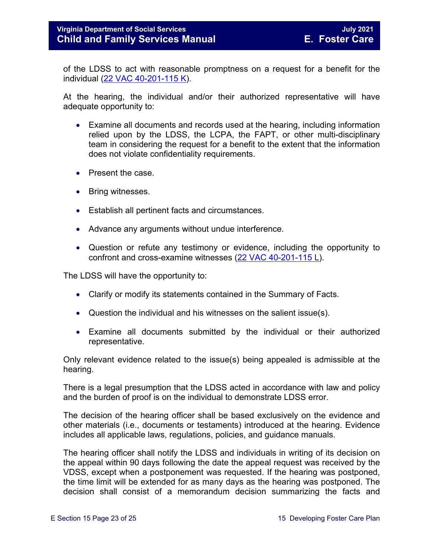of the LDSS to act with reasonable promptness on a request for a benefit for the individual [\(22 VAC 40-201-115 K\)](https://law.lis.virginia.gov/admincode/title22/agency40/chapter201/section115).

At the hearing, the individual and/or their authorized representative will have adequate opportunity to:

- Examine all documents and records used at the hearing, including information relied upon by the LDSS, the LCPA, the FAPT, or other multi-disciplinary team in considering the request for a benefit to the extent that the information does not violate confidentiality requirements.
- Present the case.
- Bring witnesses.
- Establish all pertinent facts and circumstances.
- Advance any arguments without undue interference.
- Question or refute any testimony or evidence, including the opportunity to confront and cross-examine witnesses [\(22 VAC 40-201-115 L\)](https://law.lis.virginia.gov/admincode/title22/agency40/chapter201/section115).

The LDSS will have the opportunity to:

- Clarify or modify its statements contained in the Summary of Facts.
- Question the individual and his witnesses on the salient issue(s).
- Examine all documents submitted by the individual or their authorized representative.

Only relevant evidence related to the issue(s) being appealed is admissible at the hearing.

There is a legal presumption that the LDSS acted in accordance with law and policy and the burden of proof is on the individual to demonstrate LDSS error.

The decision of the hearing officer shall be based exclusively on the evidence and other materials (i.e., documents or testaments) introduced at the hearing. Evidence includes all applicable laws, regulations, policies, and guidance manuals.

The hearing officer shall notify the LDSS and individuals in writing of its decision on the appeal within 90 days following the date the appeal request was received by the VDSS, except when a postponement was requested. If the hearing was postponed, the time limit will be extended for as many days as the hearing was postponed. The decision shall consist of a memorandum decision summarizing the facts and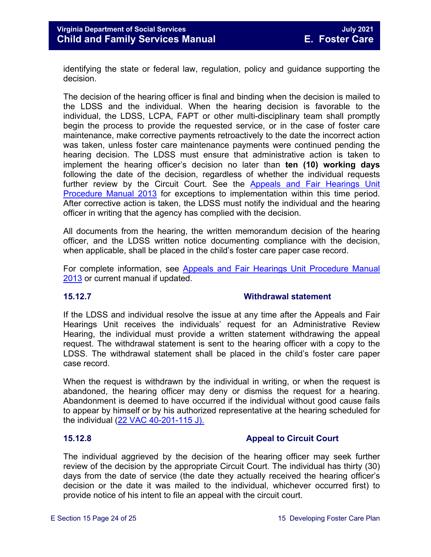identifying the state or federal law, regulation, policy and guidance supporting the decision.

The decision of the hearing officer is final and binding when the decision is mailed to the LDSS and the individual. When the hearing decision is favorable to the individual, the LDSS, LCPA, FAPT or other multi-disciplinary team shall promptly begin the process to provide the requested service, or in the case of foster care maintenance, make corrective payments retroactively to the date the incorrect action was taken, unless foster care maintenance payments were continued pending the hearing decision. The LDSS must ensure that administrative action is taken to implement the hearing officer's decision no later than **ten (10) working days** following the date of the decision, regardless of whether the individual requests further review by the Circuit Court. See the Appeals and Fair Hearings Unit [Procedure Manual 2013](https://fusion.dss.virginia.gov/Portals/%5BAC%5D/Files/Appeals%2C%20Fair%20Hearings%20and%20Civil%20Rights/AFH_Procedure_Manual.pdf) for exceptions to implementation within this time period. After corrective action is taken, the LDSS must notify the individual and the hearing officer in writing that the agency has complied with the decision.

All documents from the hearing, the written memorandum decision of the hearing officer, and the LDSS written notice documenting compliance with the decision, when applicable, shall be placed in the child's foster care paper case record.

For complete information, see [Appeals and Fair Hearings Unit Procedure Manual](https://fusion.dss.virginia.gov/Portals/%5BAC%5D/Files/Appeals%2C%20Fair%20Hearings%20and%20Civil%20Rights/AFH_Procedure_Manual.pdf)  [2013](https://fusion.dss.virginia.gov/Portals/%5BAC%5D/Files/Appeals%2C%20Fair%20Hearings%20and%20Civil%20Rights/AFH_Procedure_Manual.pdf) or current manual if updated.

### <span id="page-23-0"></span>**15.12.7 Withdrawal statement**

If the LDSS and individual resolve the issue at any time after the Appeals and Fair Hearings Unit receives the individuals' request for an Administrative Review Hearing, the individual must provide a written statement withdrawing the appeal request. The withdrawal statement is sent to the hearing officer with a copy to the LDSS. The withdrawal statement shall be placed in the child's foster care paper case record.

When the request is withdrawn by the individual in writing, or when the request is abandoned, the hearing officer may deny or dismiss the request for a hearing. Abandonment is deemed to have occurred if the individual without good cause fails to appear by himself or by his authorized representative at the hearing scheduled for the individual [\(22 VAC 40-201-115 J\).](https://law.lis.virginia.gov/admincode/title22/agency40/chapter201/section115)

### <span id="page-23-1"></span>**15.12.8 Appeal to Circuit Court**

The individual aggrieved by the decision of the hearing officer may seek further review of the decision by the appropriate Circuit Court. The individual has thirty (30) days from the date of service (the date they actually received the hearing officer's decision or the date it was mailed to the individual, whichever occurred first) to provide notice of his intent to file an appeal with the circuit court.